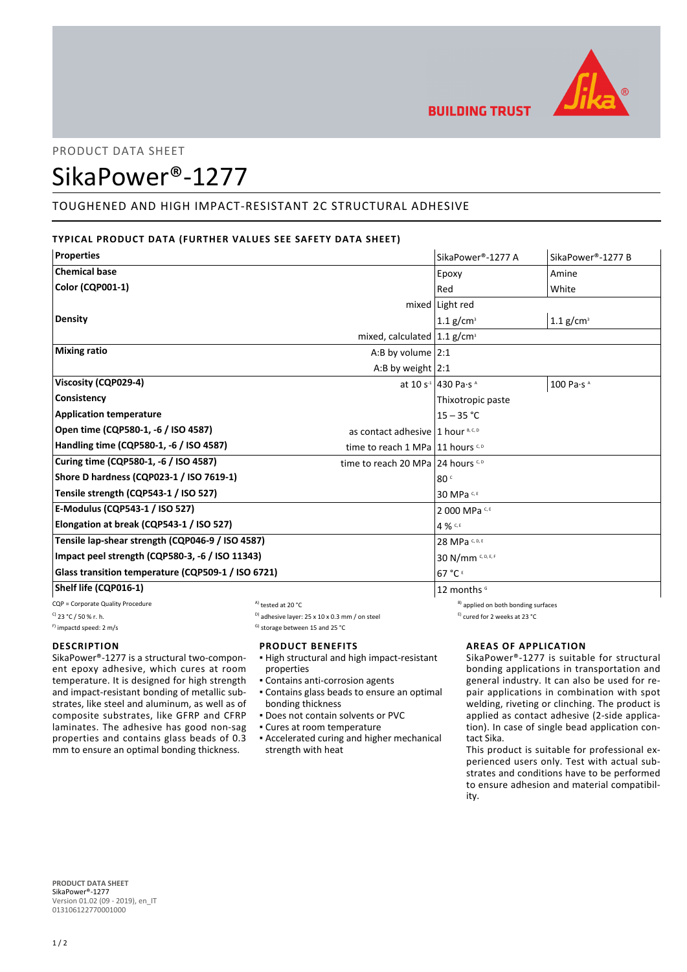

# PRODUCT DATA SHEET

# SikaPower®-1277

# TOUGHENED AND HIGH IMPACT-RESISTANT 2C STRUCTURAL ADHESIVE

# **TYPICAL PRODUCT DATA (FURTHER VALUES SEE SAFETY DATA SHEET)**

| <b>Properties</b>                                                          | SikaPower®-1277 A                | SikaPower®-1277 B           |
|----------------------------------------------------------------------------|----------------------------------|-----------------------------|
| <b>Chemical base</b>                                                       | Epoxy                            | Amine                       |
| Color (CQP001-1)                                                           | Red                              | White                       |
|                                                                            | mixed Light red                  |                             |
| <b>Density</b>                                                             | 1.1 $g/cm^{3}$                   | $1.1$ g/cm <sup>3</sup>     |
| mixed, calculated $\left  1.1 \right $ g/cm <sup>3</sup>                   |                                  |                             |
| <b>Mixing ratio</b><br>A:B by volume $ 2:1$                                |                                  |                             |
| A:B by weight $ 2:1$                                                       |                                  |                             |
| Viscosity (CQP029-4)                                                       | at 10 s <sup>-1</sup> 430 Pa.s ^ | 100 Pa $\cdot$ s $^{\circ}$ |
| Consistency                                                                | Thixotropic paste                |                             |
| <b>Application temperature</b>                                             | $15 - 35 °C$                     |                             |
| Open time (CQP580-1, -6 / ISO 4587)<br>as contact adhesive 1 hour B, C, D  |                                  |                             |
| Handling time (CQP580-1, -6 / ISO 4587)<br>time to reach 1 MPa 11 hours SP |                                  |                             |
| Curing time (CQP580-1, -6 / ISO 4587)<br>time to reach 20 MPa 24 hours SP  |                                  |                             |
| Shore D hardness (CQP023-1 / ISO 7619-1)                                   | 80 <sup>c</sup>                  |                             |
| Tensile strength (CQP543-1 / ISO 527)                                      | 30 MPa C.E.                      |                             |
| E-Modulus (CQP543-1 / ISO 527)                                             | 2 000 MPa C,E                    |                             |
| Elongation at break (CQP543-1 / ISO 527)                                   | 4 % C, E                         |                             |
| Tensile lap-shear strength (CQP046-9 / ISO 4587)                           | 28 MPa c, D, E                   |                             |
| Impact peel strength (CQP580-3, -6 / ISO 11343)                            | 30 N/mm C, D, E, F               |                             |
| Glass transition temperature (CQP509-1 / ISO 6721)                         | 67 °C E                          |                             |
| Shelf life (CQP016-1)                                                      | 12 months <sup>6</sup>           |                             |

CQP = Corporate Quality Procedure  $A$  tested at 20 °C B) applied on both bonding surfaces

### **DESCRIPTION**

SikaPower®-1277 is a structural two-component epoxy adhesive, which cures at room temperature. It is designed for high strength and impact-resistant bonding of metallic substrates, like steel and aluminum, as well as of composite substrates, like GFRP and CFRP laminates. The adhesive has good non-sag properties and contains glass beads of 0.3 mm to ensure an optimal bonding thickness.

C) 23 °C / 50 % r. h.  $\frac{D}{D}$  adhesive layer: 25 x 10 x 0.3 mm / on steel  $\frac{E}{D}$  cured for 2 weeks at 23 °C

 $F$ ) impactd speed: 2 m/s G) storage between 15 and 25 °C

# **PRODUCT BENEFITS**

- **.** High structural and high impact-resistant properties
- Contains anti-corrosion agents
- Contains glass beads to ensure an optimal bonding thickness
- Does not contain solvents or PVC
- Cures at room temperature
- Accelerated curing and higher mechanical strength with heat

# **AREAS OF APPLICATION**

SikaPower®-1277 is suitable for structural bonding applications in transportation and general industry. It can also be used for repair applications in combination with spot welding, riveting or clinching. The product is applied as contact adhesive (2-side application). In case of single bead application contact Sika.

This product is suitable for professional experienced users only. Test with actual substrates and conditions have to be performed to ensure adhesion and material compatibility.

**PRODUCT DATA SHEET** SikaPower®-1277 Version 01.02 (09 - 2019), en\_IT 013106122770001000